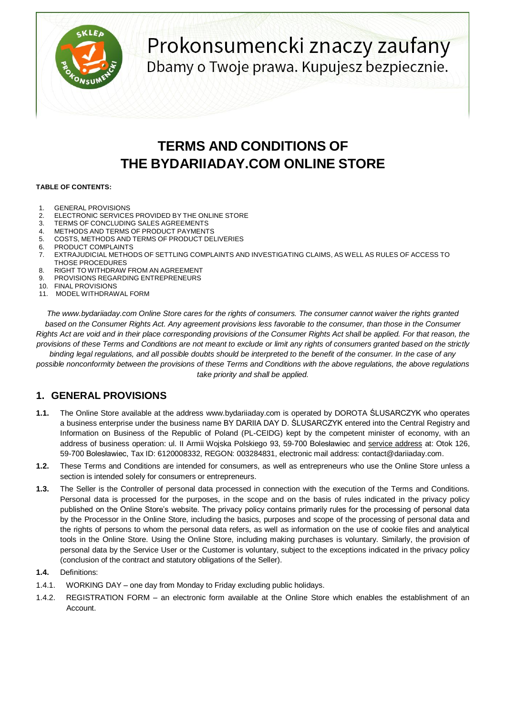

# Prokonsumencki znaczy zaufany Dbamy o Twoje prawa. Kupujesz bezpiecznie.

## **TERMS AND CONDITIONS OF THE BYDARIIADAY.COM ONLINE STORE**

#### **TABLE OF CONTENTS:**

- 1. GENERAL PROVISIONS
- 2. ELECTRONIC SERVICES PROVIDED BY THE ONLINE STORE
- 3. TERMS OF CONCLUDING SALES AGREEMENTS
- 4. METHODS AND TERMS OF PRODUCT PAYMENTS<br>5. COSTS. METHODS AND TERMS OF PRODUCT DE
- COSTS, METHODS AND TERMS OF PRODUCT DELIVERIES
- 6. PRODUCT COMPLAINTS
- 7. EXTRAJUDICIAL METHODS OF SETTLING COMPLAINTS AND INVESTIGATING CLAIMS, AS WELL AS RULES OF ACCESS TO THOSE PROCEDURES
- 8. RIGHT TO WITHDRAW FROM AN AGREEMENT
- 9. PROVISIONS REGARDING ENTREPRENEURS
- 10. FINAL PROVISIONS
- 11. MODEL WITHDRAWAL FORM

*The www.bydariiaday.com Online Store cares for the rights of consumers. The consumer cannot waiver the rights granted*  based on the Consumer Rights Act. Any agreement provisions less favorable to the consumer, than those in the Consumer *Rights Act are void and in their place corresponding provisions of the Consumer Rights Act shall be applied. For that reason, the provisions of these Terms and Conditions are not meant to exclude or limit any rights of consumers granted based on the strictly binding legal regulations, and all possible doubts should be interpreted to the benefit of the consumer. In the case of any possible nonconformity between the provisions of these Terms and Conditions with the above regulations, the above regulations take priority and shall be applied.*

## **1. GENERAL PROVISIONS**

- **1.1.** The Online Store available at the address www.bydariiaday.com is operated by DOROTA ŚLUSARCZYK who operates a business enterprise under the business name BY DARIIA DAY D. ŚLUSARCZYK entered into the Central Registry and Information on Business of the Republic of Poland (PL-CEIDG) kept by the competent minister of economy, with an address of business operation: ul. II Armii Wojska Polskiego 93, 59-700 Bolesławiec and service address at: Otok 126, 59-700 Bolesławiec, Tax ID: 6120008332, REGON: 003284831, electronic mail address: contact@dariiaday.com.
- **1.2.** These Terms and Conditions are intended for consumers, as well as entrepreneurs who use the Online Store unless a section is intended solely for consumers or entrepreneurs.
- **1.3.** The Seller is the Controller of personal data processed in connection with the execution of the Terms and Conditions. Personal data is processed for the purposes, in the scope and on the basis of rules indicated in the privacy policy published on the Online Store's website. The privacy policy contains primarily rules for the processing of personal data by the Processor in the Online Store, including the basics, purposes and scope of the processing of personal data and the rights of persons to whom the personal data refers, as well as information on the use of cookie files and analytical tools in the Online Store. Using the Online Store, including making purchases is voluntary. Similarly, the provision of personal data by the Service User or the Customer is voluntary, subject to the exceptions indicated in the privacy policy (conclusion of the contract and statutory obligations of the Seller).
- **1.4.** Definitions:
- 1.4.1. WORKING DAY one day from Monday to Friday excluding public holidays.
- 1.4.2. REGISTRATION FORM an electronic form available at the Online Store which enables the establishment of an Account.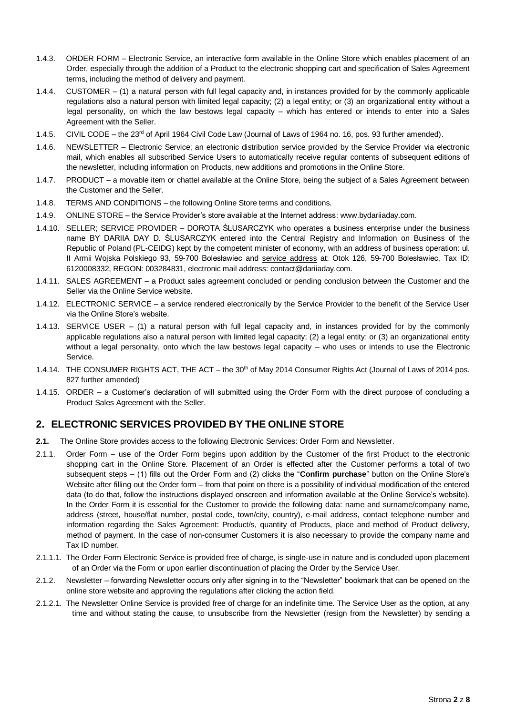- 1.4.3. ORDER FORM Electronic Service, an interactive form available in the Online Store which enables placement of an Order, especially through the addition of a Product to the electronic shopping cart and specification of Sales Agreement terms, including the method of delivery and payment.
- 1.4.4. CUSTOMER (1) a natural person with full legal capacity and, in instances provided for by the commonly applicable regulations also a natural person with limited legal capacity; (2) a legal entity; or (3) an organizational entity without a legal personality, on which the law bestows legal capacity – which has entered or intends to enter into a Sales Agreement with the Seller.
- 1.4.5. CIVIL CODE the 23<sup>rd</sup> of April 1964 Civil Code Law (Journal of Laws of 1964 no. 16, pos. 93 further amended).
- 1.4.6. NEWSLETTER Electronic Service; an electronic distribution service provided by the Service Provider via electronic mail, which enables all subscribed Service Users to automatically receive regular contents of subsequent editions of the newsletter, including information on Products, new additions and promotions in the Online Store.
- 1.4.7. PRODUCT a movable item or chattel available at the Online Store, being the subject of a Sales Agreement between the Customer and the Seller.
- 1.4.8. TERMS AND CONDITIONS the following Online Store terms and conditions.
- 1.4.9. ONLINE STORE the Service Provider's store available at the Internet address: www.bydariiaday.com.
- 1.4.10. SELLER; SERVICE PROVIDER DOROTA ŚLUSARCZYK who operates a business enterprise under the business name BY DARIIA DAY D. ŚLUSARCZYK entered into the Central Registry and Information on Business of the Republic of Poland (PL-CEIDG) kept by the competent minister of economy, with an address of business operation: ul. II Armii Wojska Polskiego 93, 59-700 Bolesławiec and service address at: Otok 126, 59-700 Bolesławiec, Tax ID: 6120008332, REGON: 003284831, electronic mail address: contact@dariiaday.com.
- 1.4.11. SALES AGREEMENT a Product sales agreement concluded or pending conclusion between the Customer and the Seller via the Online Service website.
- 1.4.12. ELECTRONIC SERVICE a service rendered electronically by the Service Provider to the benefit of the Service User via the Online Store's website.
- 1.4.13. SERVICE USER (1) a natural person with full legal capacity and, in instances provided for by the commonly applicable regulations also a natural person with limited legal capacity; (2) a legal entity; or (3) an organizational entity without a legal personality, onto which the law bestows legal capacity – who uses or intends to use the Electronic Service.
- 1.4.14. THE CONSUMER RIGHTS ACT, THE ACT the 30<sup>th</sup> of May 2014 Consumer Rights Act (Journal of Laws of 2014 pos. 827 further amended)
- 1.4.15. ORDER a Customer's declaration of will submitted using the Order Form with the direct purpose of concluding a Product Sales Agreement with the Seller.

## **2. ELECTRONIC SERVICES PROVIDED BY THE ONLINE STORE**

- **2.1.** The Online Store provides access to the following Electronic Services: Order Form and Newsletter.
- 2.1.1. Order Form use of the Order Form begins upon addition by the Customer of the first Product to the electronic shopping cart in the Online Store. Placement of an Order is effected after the Customer performs a total of two subsequent steps – (1) fills out the Order Form and (2) clicks the "**Confirm purchase**" button on the Online Store's Website after filling out the Order form – from that point on there is a possibility of individual modification of the entered data (to do that, follow the instructions displayed onscreen and information available at the Online Service's website). In the Order Form it is essential for the Customer to provide the following data: name and surname/company name, address (street, house/flat number, postal code, town/city, country), e-mail address, contact telephone number and information regarding the Sales Agreement: Product/s, quantity of Products, place and method of Product delivery, method of payment. In the case of non-consumer Customers it is also necessary to provide the company name and Tax ID number.
- 2.1.1.1. The Order Form Electronic Service is provided free of charge, is single-use in nature and is concluded upon placement of an Order via the Form or upon earlier discontinuation of placing the Order by the Service User.
- 2.1.2. Newsletter forwarding Newsletter occurs only after signing in to the "Newsletter" bookmark that can be opened on the online store website and approving the regulations after clicking the action field.
- 2.1.2.1. The Newsletter Online Service is provided free of charge for an indefinite time. The Service User as the option, at any time and without stating the cause, to unsubscribe from the Newsletter (resign from the Newsletter) by sending a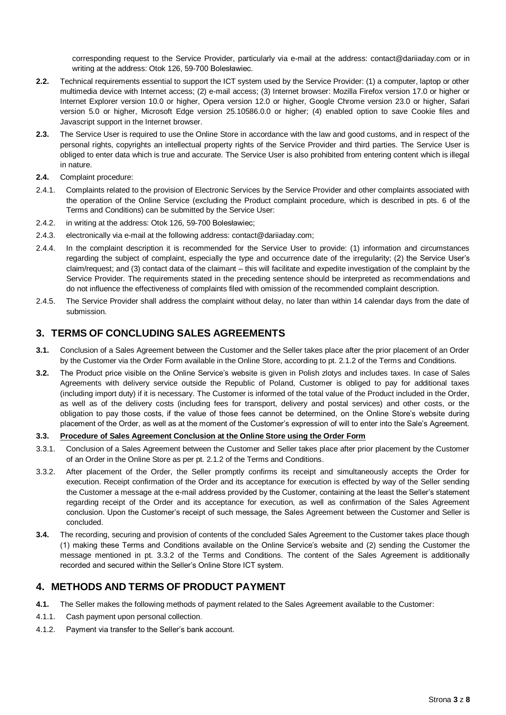corresponding request to the Service Provider, particularly via e-mail at the address: contact@dariiaday.com or in writing at the address: Otok 126, 59-700 Bolesławiec.

- **2.2.** Technical requirements essential to support the ICT system used by the Service Provider: (1) a computer, laptop or other multimedia device with Internet access; (2) e-mail access; (3) Internet browser: Mozilla Firefox version 17.0 or higher or Internet Explorer version 10.0 or higher, Opera version 12.0 or higher, Google Chrome version 23.0 or higher, Safari version 5.0 or higher, Microsoft Edge version 25.10586.0.0 or higher; (4) enabled option to save Cookie files and Javascript support in the Internet browser.
- **2.3.** The Service User is required to use the Online Store in accordance with the law and good customs, and in respect of the personal rights, copyrights an intellectual property rights of the Service Provider and third parties. The Service User is obliged to enter data which is true and accurate. The Service User is also prohibited from entering content which is illegal in nature.
- **2.4.** Complaint procedure:
- 2.4.1. Complaints related to the provision of Electronic Services by the Service Provider and other complaints associated with the operation of the Online Service (excluding the Product complaint procedure, which is described in pts. 6 of the Terms and Conditions) can be submitted by the Service User:
- 2.4.2. in writing at the address: Otok 126, 59-700 Bolesławiec;
- 2.4.3. electronically via e-mail at the following address: contact@dariiaday.com;
- 2.4.4. In the complaint description it is recommended for the Service User to provide: (1) information and circumstances regarding the subject of complaint, especially the type and occurrence date of the irregularity; (2) the Service User's claim/request; and (3) contact data of the claimant – this will facilitate and expedite investigation of the complaint by the Service Provider. The requirements stated in the preceding sentence should be interpreted as recommendations and do not influence the effectiveness of complaints filed with omission of the recommended complaint description.
- 2.4.5. The Service Provider shall address the complaint without delay, no later than within 14 calendar days from the date of submission.

## **3. TERMS OF CONCLUDING SALES AGREEMENTS**

- **3.1.** Conclusion of a Sales Agreement between the Customer and the Seller takes place after the prior placement of an Order by the Customer via the Order Form available in the Online Store, according to pt. 2.1.2 of the Terms and Conditions.
- **3.2.** The Product price visible on the Online Service's website is given in Polish zlotys and includes taxes. In case of Sales Agreements with delivery service outside the Republic of Poland, Customer is obliged to pay for additional taxes (including import duty) if it is necessary. The Customer is informed of the total value of the Product included in the Order, as well as of the delivery costs (including fees for transport, delivery and postal services) and other costs, or the obligation to pay those costs, if the value of those fees cannot be determined, on the Online Store's website during placement of the Order, as well as at the moment of the Customer's expression of will to enter into the Sale's Agreement.

#### **3.3. Procedure of Sales Agreement Conclusion at the Online Store using the Order Form**

- 3.3.1. Conclusion of a Sales Agreement between the Customer and Seller takes place after prior placement by the Customer of an Order in the Online Store as per pt. 2.1.2 of the Terms and Conditions.
- 3.3.2. After placement of the Order, the Seller promptly confirms its receipt and simultaneously accepts the Order for execution. Receipt confirmation of the Order and its acceptance for execution is effected by way of the Seller sending the Customer a message at the e-mail address provided by the Customer, containing at the least the Seller's statement regarding receipt of the Order and its acceptance for execution, as well as confirmation of the Sales Agreement conclusion. Upon the Customer's receipt of such message, the Sales Agreement between the Customer and Seller is concluded.
- **3.4.** The recording, securing and provision of contents of the concluded Sales Agreement to the Customer takes place though (1) making these Terms and Conditions available on the Online Service's website and (2) sending the Customer the message mentioned in pt. 3.3.2 of the Terms and Conditions. The content of the Sales Agreement is additionally recorded and secured within the Seller's Online Store ICT system.

## **4. METHODS AND TERMS OF PRODUCT PAYMENT**

- **4.1.** The Seller makes the following methods of payment related to the Sales Agreement available to the Customer:
- 4.1.1. Cash payment upon personal collection.
- 4.1.2. Payment via transfer to the Seller's bank account.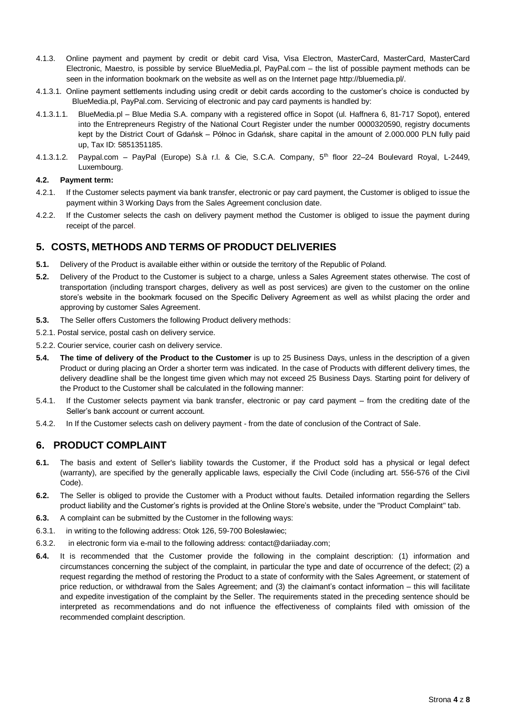- 4.1.3. Online payment and payment by credit or debit card Visa, Visa Electron, MasterCard, MasterCard, MasterCard Electronic, Maestro, is possible by service BlueMedia.pl, PayPal.com – the list of possible payment methods can be seen in the information bookmark on the website as well as on the Internet page http://bluemedia.pl/.
- 4.1.3.1. Online payment settlements including using credit or debit cards according to the customer's choice is conducted by BlueMedia.pl, PayPal.com. Servicing of electronic and pay card payments is handled by:
- 4.1.3.1.1. BlueMedia.pl Blue Media S.A. company with a registered office in Sopot (ul. Haffnera 6, 81-717 Sopot), entered into the Entrepreneurs Registry of the National Court Register under the number 0000320590, registry documents kept by the District Court of Gdańsk – Północ in Gdańsk, share capital in the amount of 2.000.000 PLN fully paid up, Tax ID: 5851351185.
- 4.1.3.1.2. Paypal.com PayPal (Europe) S.à r.l. & Cie, S.C.A. Company, 5th floor 22–24 Boulevard Royal, L-2449, Luxembourg.

#### **4.2. Payment term:**

- 4.2.1. If the Customer selects payment via bank transfer, electronic or pay card payment, the Customer is obliged to issue the payment within 3 Working Days from the Sales Agreement conclusion date.
- 4.2.2. If the Customer selects the cash on delivery payment method the Customer is obliged to issue the payment during receipt of the parcel.

#### **5. COSTS, METHODS AND TERMS OF PRODUCT DELIVERIES**

- **5.1.** Delivery of the Product is available either within or outside the territory of the Republic of Poland.
- **5.2.** Delivery of the Product to the Customer is subject to a charge, unless a Sales Agreement states otherwise. The cost of transportation (including transport charges, delivery as well as post services) are given to the customer on the online store's website in the bookmark focused on the Specific Delivery Agreement as well as whilst placing the order and approving by customer Sales Agreement.
- **5.3.** The Seller offers Customers the following Product delivery methods:
- 5.2.1. Postal service, postal cash on delivery service.
- 5.2.2. Courier service, courier cash on delivery service.
- **5.4. The time of delivery of the Product to the Customer** is up to 25 Business Days, unless in the description of a given Product or during placing an Order a shorter term was indicated. In the case of Products with different delivery times, the delivery deadline shall be the longest time given which may not exceed 25 Business Days. Starting point for delivery of the Product to the Customer shall be calculated in the following manner:
- 5.4.1. If the Customer selects payment via bank transfer, electronic or pay card payment from the crediting date of the Seller's bank account or current account.
- 5.4.2. In If the Customer selects cash on delivery payment from the date of conclusion of the Contract of Sale.

## **6. PRODUCT COMPLAINT**

- **6.1.** The basis and extent of Seller's liability towards the Customer, if the Product sold has a physical or legal defect (warranty), are specified by the generally applicable laws, especially the Civil Code (including art. 556-576 of the Civil Code).
- **6.2.** The Seller is obliged to provide the Customer with a Product without faults. Detailed information regarding the Sellers product liability and the Customer's rights is provided at the Online Store's website, under the "Product Complaint" tab.
- **6.3.** A complaint can be submitted by the Customer in the following ways:
- 6.3.1. in writing to the following address: Otok 126, 59-700 Bolesławiec;
- 6.3.2. in electronic form via e-mail to the following address: contact@dariiaday.com;
- **6.4.** It is recommended that the Customer provide the following in the complaint description: (1) information and circumstances concerning the subject of the complaint, in particular the type and date of occurrence of the defect; (2) a request regarding the method of restoring the Product to a state of conformity with the Sales Agreement, or statement of price reduction, or withdrawal from the Sales Agreement; and (3) the claimant's contact information – this will facilitate and expedite investigation of the complaint by the Seller. The requirements stated in the preceding sentence should be interpreted as recommendations and do not influence the effectiveness of complaints filed with omission of the recommended complaint description.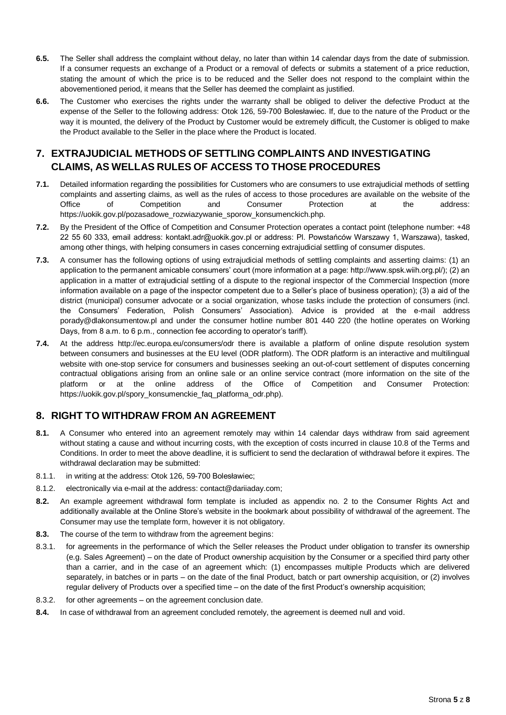- **6.5.** The Seller shall address the complaint without delay, no later than within 14 calendar days from the date of submission. If a consumer requests an exchange of a Product or a removal of defects or submits a statement of a price reduction, stating the amount of which the price is to be reduced and the Seller does not respond to the complaint within the abovementioned period, it means that the Seller has deemed the complaint as justified.
- **6.6.** The Customer who exercises the rights under the warranty shall be obliged to deliver the defective Product at the expense of the Seller to the following address: Otok 126, 59-700 Bolesławiec. If, due to the nature of the Product or the way it is mounted, the delivery of the Product by Customer would be extremely difficult, the Customer is obliged to make the Product available to the Seller in the place where the Product is located.

## **7. EXTRAJUDICIAL METHODS OF SETTLING COMPLAINTS AND INVESTIGATING CLAIMS, AS WELLAS RULES OF ACCESS TO THOSE PROCEDURES**

- **7.1.** Detailed information regarding the possibilities for Customers who are consumers to use extrajudicial methods of settling complaints and asserting claims, as well as the rules of access to those procedures are available on the website of the Office of Competition and Consumer Protection at the address: https://uokik.gov.pl/pozasadowe\_rozwiazywanie\_sporow\_konsumenckich.php.
- **7.2.** By the President of the Office of Competition and Consumer Protection operates a contact point (telephone number: +48 22 55 60 333, email address: kontakt.adr@uokik.gov.pl or address: Pl. Powstańców Warszawy 1, Warszawa), tasked, among other things, with helping consumers in cases concerning extrajudicial settling of consumer disputes.
- **7.3.** A consumer has the following options of using extrajudicial methods of settling complaints and asserting claims: (1) an application to the permanent amicable consumers' court (more information at a page: http://www.spsk.wiih.org.pl/); (2) an application in a matter of extrajudicial settling of a dispute to the regional inspector of the Commercial Inspection (more information available on a page of the inspector competent due to a Seller's place of business operation); (3) a aid of the district (municipal) consumer advocate or a social organization, whose tasks include the protection of consumers (incl. the Consumers' Federation, Polish Consumers' Association). Advice is provided at the e-mail address porady@dlakonsumentow.pl and under the consumer hotline number 801 440 220 (the hotline operates on Working Days, from 8 a.m. to 6 p.m., connection fee according to operator's tariff).
- **7.4.** At the address http://ec.europa.eu/consumers/odr there is available a platform of online dispute resolution system between consumers and businesses at the EU level (ODR platform). The ODR platform is an interactive and multilingual website with one-stop service for consumers and businesses seeking an out-of-court settlement of disputes concerning contractual obligations arising from an online sale or an online service contract (more information on the site of the platform or at the online address of the Office of Competition and Consumer Protection: https://uokik.gov.pl/spory\_konsumenckie\_faq\_platforma\_odr.php).

## **8. RIGHT TO WITHDRAW FROM AN AGREEMENT**

- **8.1.** A Consumer who entered into an agreement remotely may within 14 calendar days withdraw from said agreement without stating a cause and without incurring costs, with the exception of costs incurred in clause 10.8 of the Terms and Conditions. In order to meet the above deadline, it is sufficient to send the declaration of withdrawal before it expires. The withdrawal declaration may be submitted:
- 8.1.1. in writing at the address: Otok 126, 59-700 Bolesławiec;
- 8.1.2. electronically via e-mail at the address: contact@dariiaday.com;
- **8.2.** An example agreement withdrawal form template is included as appendix no. 2 to the Consumer Rights Act and additionally available at the Online Store's website in the bookmark about possibility of withdrawal of the agreement. The Consumer may use the template form, however it is not obligatory.
- **8.3.** The course of the term to withdraw from the agreement begins:
- 8.3.1. for agreements in the performance of which the Seller releases the Product under obligation to transfer its ownership (e.g. Sales Agreement) – on the date of Product ownership acquisition by the Consumer or a specified third party other than a carrier, and in the case of an agreement which: (1) encompasses multiple Products which are delivered separately, in batches or in parts – on the date of the final Product, batch or part ownership acquisition, or (2) involves regular delivery of Products over a specified time – on the date of the first Product's ownership acquisition;
- 8.3.2. for other agreements on the agreement conclusion date.
- **8.4.** In case of withdrawal from an agreement concluded remotely, the agreement is deemed null and void.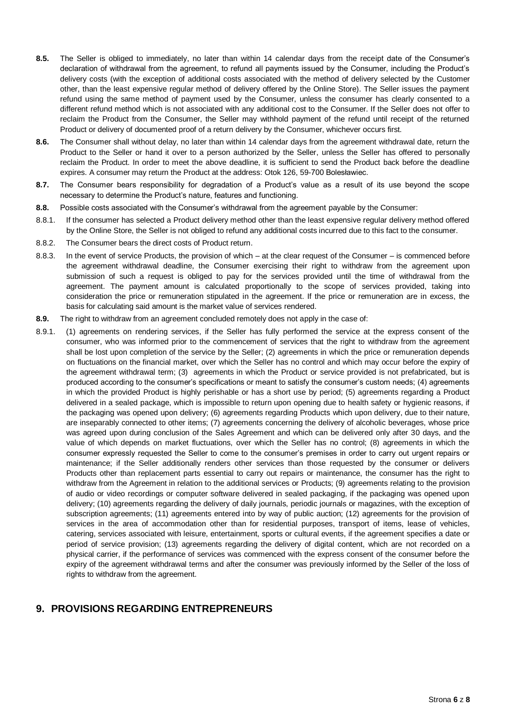- **8.5.** The Seller is obliged to immediately, no later than within 14 calendar days from the receipt date of the Consumer's declaration of withdrawal from the agreement, to refund all payments issued by the Consumer, including the Product's delivery costs (with the exception of additional costs associated with the method of delivery selected by the Customer other, than the least expensive regular method of delivery offered by the Online Store). The Seller issues the payment refund using the same method of payment used by the Consumer, unless the consumer has clearly consented to a different refund method which is not associated with any additional cost to the Consumer. If the Seller does not offer to reclaim the Product from the Consumer, the Seller may withhold payment of the refund until receipt of the returned Product or delivery of documented proof of a return delivery by the Consumer, whichever occurs first.
- **8.6.** The Consumer shall without delay, no later than within 14 calendar days from the agreement withdrawal date, return the Product to the Seller or hand it over to a person authorized by the Seller, unless the Seller has offered to personally reclaim the Product. In order to meet the above deadline, it is sufficient to send the Product back before the deadline expires. A consumer may return the Product at the address: Otok 126, 59-700 Bolesławiec.
- **8.7.** The Consumer bears responsibility for degradation of a Product's value as a result of its use beyond the scope necessary to determine the Product's nature, features and functioning.
- **8.8.** Possible costs associated with the Consumer's withdrawal from the agreement payable by the Consumer:
- 8.8.1. If the consumer has selected a Product delivery method other than the least expensive regular delivery method offered by the Online Store, the Seller is not obliged to refund any additional costs incurred due to this fact to the consumer.
- 8.8.2. The Consumer bears the direct costs of Product return.
- 8.8.3. In the event of service Products, the provision of which at the clear request of the Consumer is commenced before the agreement withdrawal deadline, the Consumer exercising their right to withdraw from the agreement upon submission of such a request is obliged to pay for the services provided until the time of withdrawal from the agreement. The payment amount is calculated proportionally to the scope of services provided, taking into consideration the price or remuneration stipulated in the agreement. If the price or remuneration are in excess, the basis for calculating said amount is the market value of services rendered.
- **8.9.** The right to withdraw from an agreement concluded remotely does not apply in the case of:
- 8.9.1. (1) agreements on rendering services, if the Seller has fully performed the service at the express consent of the consumer, who was informed prior to the commencement of services that the right to withdraw from the agreement shall be lost upon completion of the service by the Seller; (2) agreements in which the price or remuneration depends on fluctuations on the financial market, over which the Seller has no control and which may occur before the expiry of the agreement withdrawal term; (3) agreements in which the Product or service provided is not prefabricated, but is produced according to the consumer's specifications or meant to satisfy the consumer's custom needs; (4) agreements in which the provided Product is highly perishable or has a short use by period; (5) agreements regarding a Product delivered in a sealed package, which is impossible to return upon opening due to health safety or hygienic reasons, if the packaging was opened upon delivery; (6) agreements regarding Products which upon delivery, due to their nature, are inseparably connected to other items; (7) agreements concerning the delivery of alcoholic beverages, whose price was agreed upon during conclusion of the Sales Agreement and which can be delivered only after 30 days, and the value of which depends on market fluctuations, over which the Seller has no control; (8) agreements in which the consumer expressly requested the Seller to come to the consumer's premises in order to carry out urgent repairs or maintenance; if the Seller additionally renders other services than those requested by the consumer or delivers Products other than replacement parts essential to carry out repairs or maintenance, the consumer has the right to withdraw from the Agreement in relation to the additional services or Products; (9) agreements relating to the provision of audio or video recordings or computer software delivered in sealed packaging, if the packaging was opened upon delivery; (10) agreements regarding the delivery of daily journals, periodic journals or magazines, with the exception of subscription agreements; (11) agreements entered into by way of public auction; (12) agreements for the provision of services in the area of accommodation other than for residential purposes, transport of items, lease of vehicles, catering, services associated with leisure, entertainment, sports or cultural events, if the agreement specifies a date or period of service provision; (13) agreements regarding the delivery of digital content, which are not recorded on a physical carrier, if the performance of services was commenced with the express consent of the consumer before the expiry of the agreement withdrawal terms and after the consumer was previously informed by the Seller of the loss of rights to withdraw from the agreement.

## **9. PROVISIONS REGARDING ENTREPRENEURS**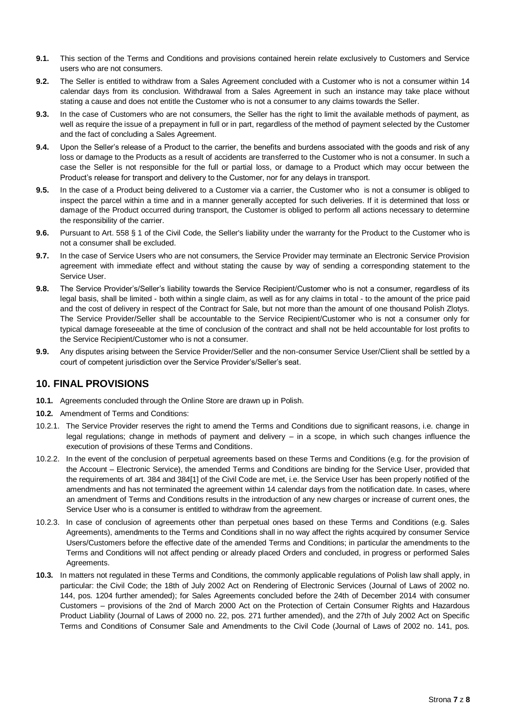- **9.1.** This section of the Terms and Conditions and provisions contained herein relate exclusively to Customers and Service users who are not consumers.
- **9.2.** The Seller is entitled to withdraw from a Sales Agreement concluded with a Customer who is not a consumer within 14 calendar days from its conclusion. Withdrawal from a Sales Agreement in such an instance may take place without stating a cause and does not entitle the Customer who is not a consumer to any claims towards the Seller.
- **9.3.** In the case of Customers who are not consumers, the Seller has the right to limit the available methods of payment, as well as require the issue of a prepayment in full or in part, regardless of the method of payment selected by the Customer and the fact of concluding a Sales Agreement.
- **9.4.** Upon the Seller's release of a Product to the carrier, the benefits and burdens associated with the goods and risk of any loss or damage to the Products as a result of accidents are transferred to the Customer who is not a consumer. In such a case the Seller is not responsible for the full or partial loss, or damage to a Product which may occur between the Product's release for transport and delivery to the Customer, nor for any delays in transport.
- **9.5.** In the case of a Product being delivered to a Customer via a carrier, the Customer who is not a consumer is obliged to inspect the parcel within a time and in a manner generally accepted for such deliveries. If it is determined that loss or damage of the Product occurred during transport, the Customer is obliged to perform all actions necessary to determine the responsibility of the carrier.
- **9.6.** Pursuant to Art. 558 § 1 of the Civil Code, the Seller's liability under the warranty for the Product to the Customer who is not a consumer shall be excluded.
- **9.7.** In the case of Service Users who are not consumers, the Service Provider may terminate an Electronic Service Provision agreement with immediate effect and without stating the cause by way of sending a corresponding statement to the Service User.
- **9.8.** The Service Provider's/Seller's liability towards the Service Recipient/Customer who is not a consumer, regardless of its legal basis, shall be limited - both within a single claim, as well as for any claims in total - to the amount of the price paid and the cost of delivery in respect of the Contract for Sale, but not more than the amount of one thousand Polish Zlotys. The Service Provider/Seller shall be accountable to the Service Recipient/Customer who is not a consumer only for typical damage foreseeable at the time of conclusion of the contract and shall not be held accountable for lost profits to the Service Recipient/Customer who is not a consumer.
- **9.9.** Any disputes arising between the Service Provider/Seller and the non-consumer Service User/Client shall be settled by a court of competent jurisdiction over the Service Provider's/Seller's seat.

## **10. FINAL PROVISIONS**

- **10.1.** Agreements concluded through the Online Store are drawn up in Polish.
- **10.2.** Amendment of Terms and Conditions:
- 10.2.1. The Service Provider reserves the right to amend the Terms and Conditions due to significant reasons, i.e. change in legal regulations; change in methods of payment and delivery – in a scope, in which such changes influence the execution of provisions of these Terms and Conditions.
- 10.2.2. In the event of the conclusion of perpetual agreements based on these Terms and Conditions (e.g. for the provision of the Account – Electronic Service), the amended Terms and Conditions are binding for the Service User, provided that the requirements of art. 384 and 384[1] of the Civil Code are met, i.e. the Service User has been properly notified of the amendments and has not terminated the agreement within 14 calendar days from the notification date. In cases, where an amendment of Terms and Conditions results in the introduction of any new charges or increase of current ones, the Service User who is a consumer is entitled to withdraw from the agreement.
- 10.2.3. In case of conclusion of agreements other than perpetual ones based on these Terms and Conditions (e.g. Sales Agreements), amendments to the Terms and Conditions shall in no way affect the rights acquired by consumer Service Users/Customers before the effective date of the amended Terms and Conditions; in particular the amendments to the Terms and Conditions will not affect pending or already placed Orders and concluded, in progress or performed Sales Agreements.
- **10.3.** In matters not regulated in these Terms and Conditions, the commonly applicable regulations of Polish law shall apply, in particular: the Civil Code; the 18th of July 2002 Act on Rendering of Electronic Services (Journal of Laws of 2002 no. 144, pos. 1204 further amended); for Sales Agreements concluded before the 24th of December 2014 with consumer Customers – provisions of the 2nd of March 2000 Act on the Protection of Certain Consumer Rights and Hazardous Product Liability (Journal of Laws of 2000 no. 22, pos. 271 further amended), and the 27th of July 2002 Act on Specific Terms and Conditions of Consumer Sale and Amendments to the Civil Code (Journal of Laws of 2002 no. 141, pos.